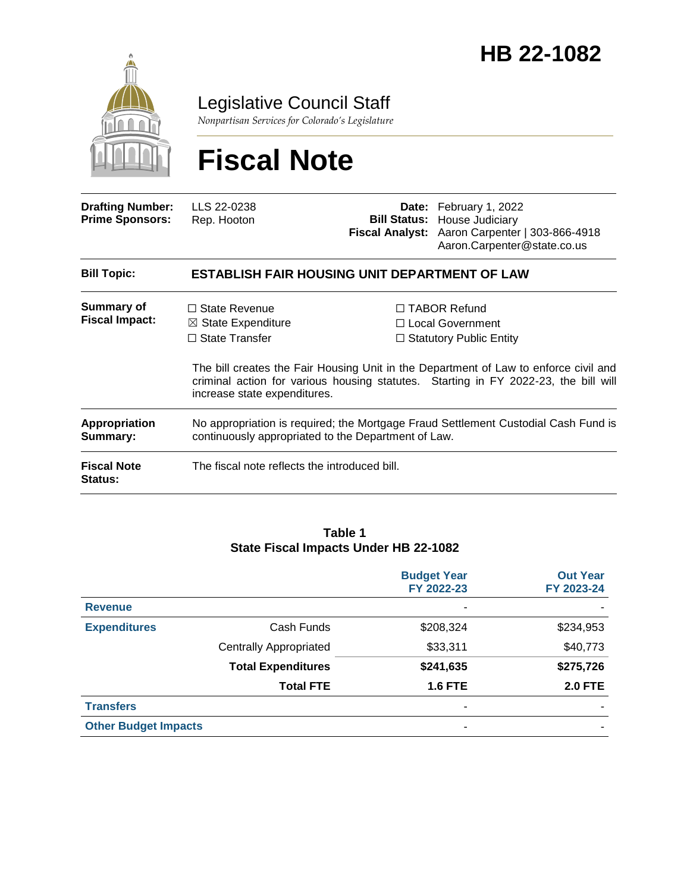

Legislative Council Staff

*Nonpartisan Services for Colorado's Legislature*

# **Fiscal Note**

| <b>Drafting Number:</b><br><b>Prime Sponsors:</b> | LLS 22-0238<br>Rep. Hooton                                                                                                                |  | Date: February 1, 2022<br><b>Bill Status: House Judiciary</b><br>Fiscal Analyst: Aaron Carpenter   303-866-4918<br>Aaron.Carpenter@state.co.us                                                                                                             |  |
|---------------------------------------------------|-------------------------------------------------------------------------------------------------------------------------------------------|--|------------------------------------------------------------------------------------------------------------------------------------------------------------------------------------------------------------------------------------------------------------|--|
| <b>Bill Topic:</b>                                | <b>ESTABLISH FAIR HOUSING UNIT DEPARTMENT OF LAW</b>                                                                                      |  |                                                                                                                                                                                                                                                            |  |
| <b>Summary of</b><br><b>Fiscal Impact:</b>        | $\Box$ State Revenue<br>$\boxtimes$ State Expenditure<br>$\Box$ State Transfer                                                            |  | □ TABOR Refund<br>$\Box$ Local Government<br>$\Box$ Statutory Public Entity<br>The bill creates the Fair Housing Unit in the Department of Law to enforce civil and<br>criminal action for various housing statutes. Starting in FY 2022-23, the bill will |  |
|                                                   | increase state expenditures.                                                                                                              |  |                                                                                                                                                                                                                                                            |  |
| <b>Appropriation</b><br>Summary:                  | No appropriation is required; the Mortgage Fraud Settlement Custodial Cash Fund is<br>continuously appropriated to the Department of Law. |  |                                                                                                                                                                                                                                                            |  |
| <b>Fiscal Note</b><br>Status:                     | The fiscal note reflects the introduced bill.                                                                                             |  |                                                                                                                                                                                                                                                            |  |

#### **Table 1 State Fiscal Impacts Under HB 22-1082**

|                             |                               | <b>Budget Year</b><br>FY 2022-23 | <b>Out Year</b><br>FY 2023-24 |
|-----------------------------|-------------------------------|----------------------------------|-------------------------------|
| <b>Revenue</b>              |                               | ۰                                |                               |
| <b>Expenditures</b>         | Cash Funds                    | \$208,324                        | \$234,953                     |
|                             | <b>Centrally Appropriated</b> | \$33,311                         | \$40,773                      |
|                             | <b>Total Expenditures</b>     | \$241,635                        | \$275,726                     |
|                             | <b>Total FTE</b>              | <b>1.6 FTE</b>                   | <b>2.0 FTE</b>                |
| <b>Transfers</b>            |                               | $\overline{\phantom{a}}$         |                               |
| <b>Other Budget Impacts</b> |                               | ٠                                |                               |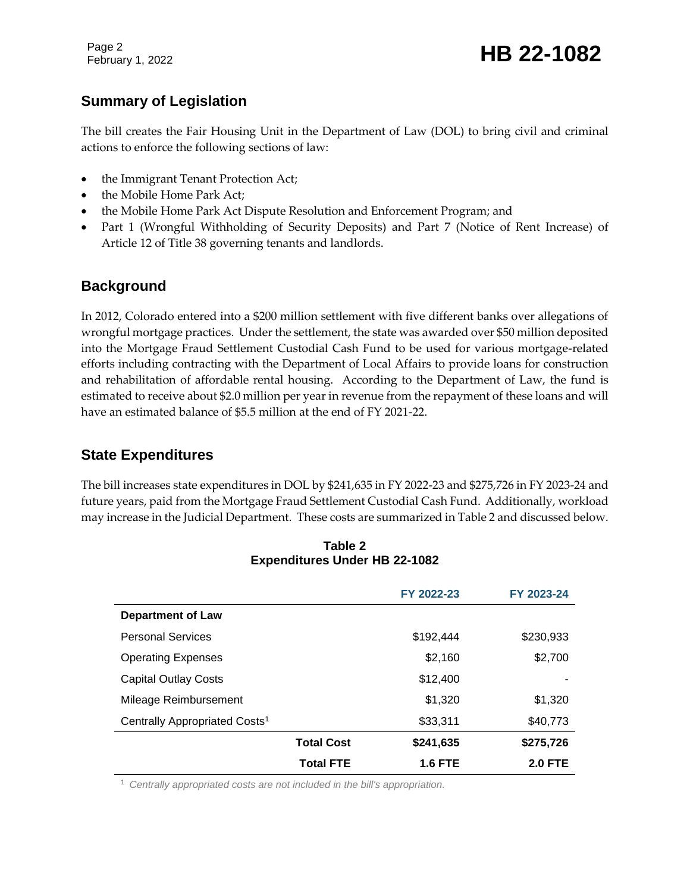Page 2

# **Summary of Legislation**

The bill creates the Fair Housing Unit in the Department of Law (DOL) to bring civil and criminal actions to enforce the following sections of law:

- the Immigrant Tenant Protection Act;
- the Mobile Home Park Act;
- the Mobile Home Park Act Dispute Resolution and Enforcement Program; and
- Part 1 (Wrongful Withholding of Security Deposits) and Part 7 (Notice of Rent Increase) of Article 12 of Title 38 governing tenants and landlords.

### **Background**

In 2012, Colorado entered into a \$200 million settlement with five different banks over allegations of wrongful mortgage practices. Under the settlement, the state was awarded over \$50 million deposited into the Mortgage Fraud Settlement Custodial Cash Fund to be used for various mortgage-related efforts including contracting with the Department of Local Affairs to provide loans for construction and rehabilitation of affordable rental housing. According to the Department of Law, the fund is estimated to receive about \$2.0 million per year in revenue from the repayment of these loans and will have an estimated balance of \$5.5 million at the end of FY 2021-22.

# **State Expenditures**

The bill increases state expenditures in DOL by \$241,635 in FY 2022-23 and \$275,726 in FY 2023-24 and future years, paid from the Mortgage Fraud Settlement Custodial Cash Fund. Additionally, workload may increase in the Judicial Department. These costs are summarized in Table 2 and discussed below.

|                                           |                   | FY 2022-23 | FY 2023-24     |
|-------------------------------------------|-------------------|------------|----------------|
| <b>Department of Law</b>                  |                   |            |                |
| <b>Personal Services</b>                  |                   | \$192.444  | \$230,933      |
| <b>Operating Expenses</b>                 |                   | \$2,160    | \$2,700        |
| <b>Capital Outlay Costs</b>               |                   | \$12,400   |                |
| Mileage Reimbursement                     |                   | \$1,320    | \$1,320        |
| Centrally Appropriated Costs <sup>1</sup> |                   | \$33,311   | \$40,773       |
|                                           | <b>Total Cost</b> | \$241,635  | \$275,726      |
|                                           | <b>Total FTE</b>  | 1.6 FTE    | <b>2.0 FTE</b> |

**Table 2 Expenditures Under HB 22-1082**

<sup>1</sup> *Centrally appropriated costs are not included in the bill's appropriation.*